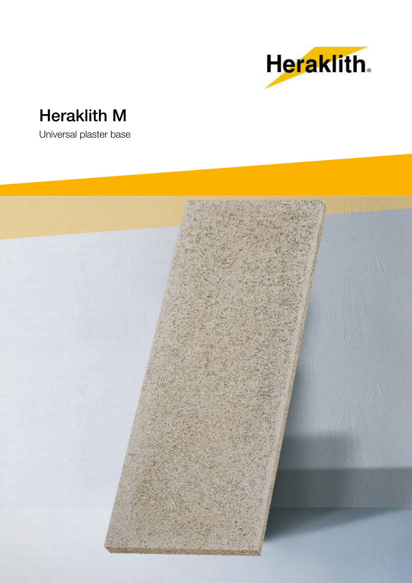

# **Heraklith M**

Universal plaster base